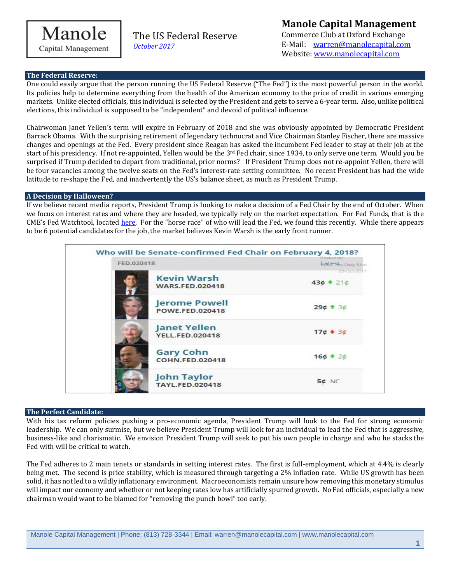

Capital Management

The US Federal Reserve *October 2017*

# **The Federal Reserve:**

One could easily argue that the person running the US Federal Reserve ("The Fed") is the most powerful person in the world. Its policies help to determine everything from the health of the American economy to the price of credit in various emerging markets. Unlike elected officials, this individual is selected by the President and gets to serve a 6-year term. Also, unlike political elections, this individual is supposed to be "independent" and devoid of political influence.

Chairwoman Janet Yellen's term will expire in February of 2018 and she was obviously appointed by Democratic President Barrack Obama. With the surprising retirement of legendary technocrat and Vice Chairman Stanley Fischer, there are massive changes and openings at the Fed. Every president since Reagan has asked the incumbent Fed leader to stay at their job at the start of his presidency. If not re-appointed, Yellen would be the  $3<sup>rd</sup>$  Fed chair, since 1934, to only serve one term. Would you be surprised if Trump decided to depart from traditional, prior norms? If President Trump does not re-appoint Yellen, there will be four vacancies among the twelve seats on the Fed's interest-rate setting committee. No recent President has had the wide latitude to re-shape the Fed, and inadvertently the US's balance sheet, as much as President Trump.

## **A Decision by Halloween?**

If we believe recent media reports, President Trump is looking to make a decision of a Fed Chair by the end of October. When we focus on interest rates and where they are headed, we typically rely on the market expectation. For Fed Funds, that is the CME's Fed Watchtool, located [here.](http://www.cmegroup.com/trading/interest-rates/countdown-to-fomc.html) For the "horse race" of who will lead the Fed, we found this recently. While there appears to be 6 potential candidates for the job, the market believes Kevin Warsh is the early front runner.



### **The Perfect Candidate:**

With his tax reform policies pushing a pro-economic agenda, President Trump will look to the Fed for strong economic leadership. We can only surmise, but we believe President Trump will look for an individual to lead the Fed that is aggressive, business-like and charismatic. We envision President Trump will seek to put his own people in charge and who he stacks the Fed with will be critical to watch.

The Fed adheres to 2 main tenets or standards in setting interest rates. The first is full-employment, which at 4.4% is clearly being met. The second is price stability, which is measured through targeting a 2% inflation rate. While US growth has been solid, it has not led to a wildly inflationary environment. Macroeconomists remain unsure how removing this monetary stimulus will impact our economy and whether or not keeping rates low has artificially spurred growth. No Fed officials, especially a new chairman would want to be blamed for "removing the punch bowl" too early.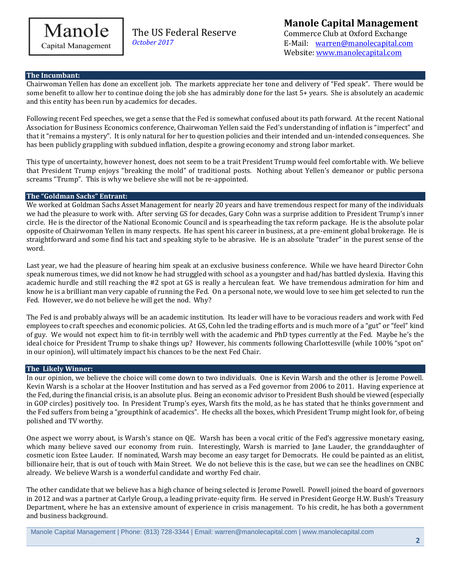

Capital Management

The US Federal Reserve *October 2017*

## **The Incumbant:**

Chairwoman Yellen has done an excellent job. The markets appreciate her tone and delivery of "Fed speak". There would be some benefit to allow her to continue doing the job she has admirably done for the last 5+ years. She is absolutely an academic and this entity has been run by academics for decades.

Following recent Fed speeches, we get a sense that the Fed is somewhat confused about its path forward. At the recent National Association for Business Economics conference, Chairwoman Yellen said the Fed's understanding of inflation is "imperfect" and that it "remains a mystery". It is only natural for her to question policies and their intended and un-intended consequences. She has been publicly grappling with subdued inflation, despite a growing economy and strong labor market.

This type of uncertainty, however honest, does not seem to be a trait President Trump would feel comfortable with. We believe that President Trump enjoys "breaking the mold" of traditional posts. Nothing about Yellen's demeanor or public persona screams "Trump". This is why we believe she will not be re-appointed.

## **The "Goldman Sachs" Entrant:**

We worked at Goldman Sachs Asset Management for nearly 20 years and have tremendous respect for many of the individuals we had the pleasure to work with. After serving GS for decades, Gary Cohn was a surprise addition to President Trump's inner circle. He is the director of the National Economic Council and is spearheading the tax reform package. He is the absolute polar opposite of Chairwoman Yellen in many respects. He has spent his career in business, at a pre-eminent global brokerage. He is straightforward and some find his tact and speaking style to be abrasive. He is an absolute "trader" in the purest sense of the word.

Last year, we had the pleasure of hearing him speak at an exclusive business conference. While we have heard Director Cohn speak numerous times, we did not know he had struggled with school as a youngster and had/has battled dyslexia. Having this academic hurdle and still reaching the #2 spot at GS is really a herculean feat. We have tremendous admiration for him and know he is a brilliant man very capable of running the Fed. On a personal note, we would love to see him get selected to run the Fed. However, we do not believe he will get the nod. Why?

The Fed is and probably always will be an academic institution. Its leader will have to be voracious readers and work with Fed employees to craft speeches and economic policies. At GS, Cohn led the trading efforts and is much more of a "gut" or "feel" kind of guy. We would not expect him to fit-in terribly well with the academic and PhD types currently at the Fed. Maybe he's the ideal choice for President Trump to shake things up? However, his comments following Charlottesville (while 100% "spot on" in our opinion), will ultimately impact his chances to be the next Fed Chair.

### **The Likely Winner:**

In our opinion, we believe the choice will come down to two individuals. One is Kevin Warsh and the other is Jerome Powell. Kevin Warsh is a scholar at the Hoover Institution and has served as a Fed governor from 2006 to 2011. Having experience at the Fed, during the financial crisis, is an absolute plus. Being an economic advisor to President Bush should be viewed (especially in GOP circles) positively too. In President Trump's eyes, Warsh fits the mold, as he has stated that he thinks government and the Fed suffers from being a "groupthink of academics". He checks all the boxes, which President Trump might look for, of being polished and TV worthy.

One aspect we worry about, is Warsh's stance on QE. Warsh has been a vocal critic of the Fed's aggressive monetary easing, which many believe saved our economy from ruin. Interestingly, Warsh is married to Jane Lauder, the granddaughter of cosmetic icon Estee Lauder. If nominated, Warsh may become an easy target for Democrats. He could be painted as an elitist, billionaire heir, that is out of touch with Main Street. We do not believe this is the case, but we can see the headlines on CNBC already. We believe Warsh is a wonderful candidate and worthy Fed chair.

The other candidate that we believe has a high chance of being selected is Jerome Powell. Powell joined the board of governors in 2012 and was a partner at Carlyle Group, a leading private-equity firm. He served in President George H.W. Bush's Treasury Department, where he has an extensive amount of experience in crisis management. To his credit, he has both a government and business background.

Manole Capital Management | Phone: (813) 728-3344 | Email: warren@manolecapital.com | www.manolecapital.com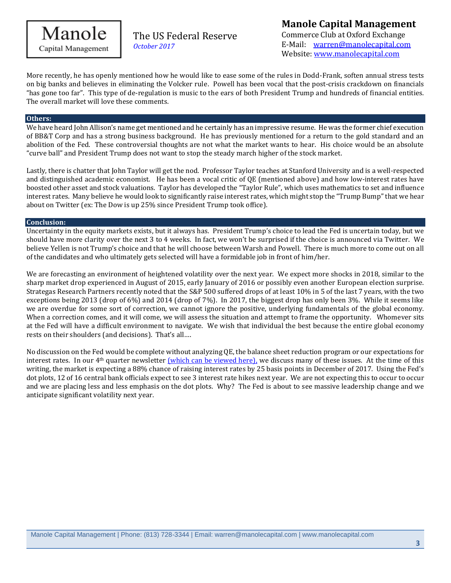

The US Federal Reserve *October 2017*

More recently, he has openly mentioned how he would like to ease some of the rules in Dodd-Frank, soften annual stress tests on big banks and believes in eliminating the Volcker rule. Powell has been vocal that the post-crisis crackdown on financials "has gone too far". This type of de-regulation is music to the ears of both President Trump and hundreds of financial entities. The overall market will love these comments.

#### **Others:**

We have heard John Allison's name get mentioned and he certainly has an impressive resume. He was the former chief execution of BB&T Corp and has a strong business background. He has previously mentioned for a return to the gold standard and an abolition of the Fed. These controversial thoughts are not what the market wants to hear. His choice would be an absolute "curve ball" and President Trump does not want to stop the steady march higher of the stock market.

Lastly, there is chatter that John Taylor will get the nod. Professor Taylor teaches at Stanford University and is a well-respected and distinguished academic economist. He has been a vocal critic of QE (mentioned above) and how low-interest rates have boosted other asset and stock valuations. Taylor has developed the "Taylor Rule", which uses mathematics to set and influence interest rates. Many believe he would look to significantly raise interest rates, which might stop the "Trump Bump" that we hear about on Twitter (ex: The Dow is up 25% since President Trump took office).

#### **Conclusion:**

Uncertainty in the equity markets exists, but it always has. President Trump's choice to lead the Fed is uncertain today, but we should have more clarity over the next 3 to 4 weeks. In fact, we won't be surprised if the choice is announced via Twitter. We believe Yellen is not Trump's choice and that he will choose between Warsh and Powell. There is much more to come out on all of the candidates and who ultimately gets selected will have a formidable job in front of him/her.

We are forecasting an environment of heightened volatility over the next year. We expect more shocks in 2018, similar to the sharp market drop experienced in August of 2015, early January of 2016 or possibly even another European election surprise. Strategas Research Partners recently noted that the S&P 500 suffered drops of at least 10% in 5 of the last 7 years, with the two exceptions being 2013 (drop of 6%) and 2014 (drop of 7%). In 2017, the biggest drop has only been 3%. While it seems like we are overdue for some sort of correction, we cannot ignore the positive, underlying fundamentals of the global economy. When a correction comes, and it will come, we will assess the situation and attempt to frame the opportunity. Whomever sits at the Fed will have a difficult environment to navigate. We wish that individual the best because the entire global economy rests on their shoulders (and decisions). That's all….

No discussion on the Fed would be complete without analyzing QE, the balance sheet reduction program or our expectations for interest rates. In our 4<sup>th</sup> quarter newsletter [\(which can be viewed here\),](https://docs.wixstatic.com/ugd/92d4c3_091639d7145b4368ab30bdd39466860c.pdf) we discuss many of these issues. At the time of this writing, the market is expecting a 88% chance of raising interest rates by 25 basis points in December of 2017. Using the Fed's dot plots, 12 of 16 central bank officials expect to see 3 interest rate hikes next year. We are not expecting this to occur to occur and we are placing less and less emphasis on the dot plots. Why? The Fed is about to see massive leadership change and we anticipate significant volatility next year.